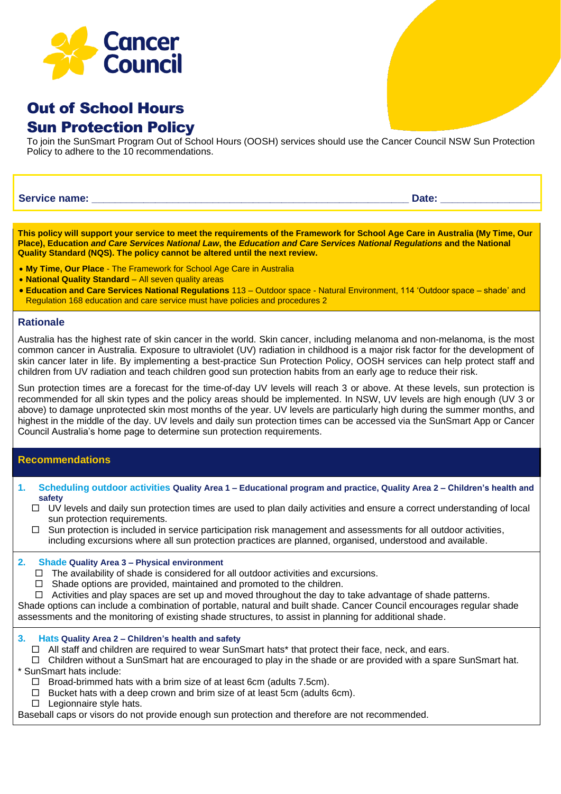

# Out of School Hours Sun Protection Policy

To join the SunSmart Program Out of School Hours (OOSH) services should use the Cancer Council NSW Sun Protection Policy to adhere to the 10 recommendations.

**Service name: Date: Date:** *Date:* **<b>Date:** *Date: Date: Date: Date:* 

**This policy will support your service to meet the requirements of the Framework for School Age Care in Australia (My Time, Our Place), Education** *and Care Services National Law***, the** *Education and Care Services National Regulations* **and the National Quality Standard (NQS). The policy cannot be altered until the next review.**

- **My Time, Our Place** The Framework for School Age Care in Australia
- **National Quality Standard** All seven quality areas
- **Education and Care Services National Regulations** 113 Outdoor space Natural Environment, 114 'Outdoor space shade' and Regulation 168 education and care service must have policies and procedures 2

#### **Rationale**

Australia has the highest rate of skin cancer in the world. Skin cancer, including melanoma and non-melanoma, is the most common cancer in Australia. Exposure to ultraviolet (UV) radiation in childhood is a major risk factor for the development of skin cancer later in life. By implementing a best-practice Sun Protection Policy, OOSH services can help protect staff and children from UV radiation and teach children good sun protection habits from an early age to reduce their risk.

Sun protection times are a forecast for the time-of-day UV levels will reach 3 or above. At these levels, sun protection is recommended for all skin types and the policy areas should be implemented. In NSW, UV levels are high enough (UV 3 or above) to damage unprotected skin most months of the year. UV levels are particularly high during the summer months, and highest in the middle of the day. UV levels and daily sun protection times can be accessed via the SunSmart App or Cancer Council Australia's home page to determine sun protection requirements.

# **Recommendations**

- **1. Scheduling outdoor activities Quality Area 1 – Educational program and practice, Quality Area 2 – Children's health and safety**
	- $\Box$  UV levels and daily sun protection times are used to plan daily activities and ensure a correct understanding of local sun protection requirements.
	- $\Box$  Sun protection is included in service participation risk management and assessments for all outdoor activities, including excursions where all sun protection practices are planned, organised, understood and available.

### **2. Shade Quality Area 3 – Physical environment**

- $\Box$  The availability of shade is considered for all outdoor activities and excursions.
- $\Box$  Shade options are provided, maintained and promoted to the children.
- $\Box$  Activities and play spaces are set up and moved throughout the day to take advantage of shade patterns.

Shade options can include a combination of portable, natural and built shade. Cancer Council encourages regular shade assessments and the monitoring of existing shade structures, to assist in planning for additional shade.

#### **3. Hats Quality Area 2 – Children's health and safety**

- □ All staff and children are required to wear SunSmart hats\* that protect their face, neck, and ears.
- $\Box$  Children without a SunSmart hat are encouraged to play in the shade or are provided with a spare SunSmart hat. \* SunSmart hats include:
	- $\Box$  Broad-brimmed hats with a brim size of at least 6cm (adults 7.5cm).
	- $\Box$  Bucket hats with a deep crown and brim size of at least 5cm (adults 6cm).
	- $\Box$  Legionnaire style hats.

Baseball caps or visors do not provide enough sun protection and therefore are not recommended.